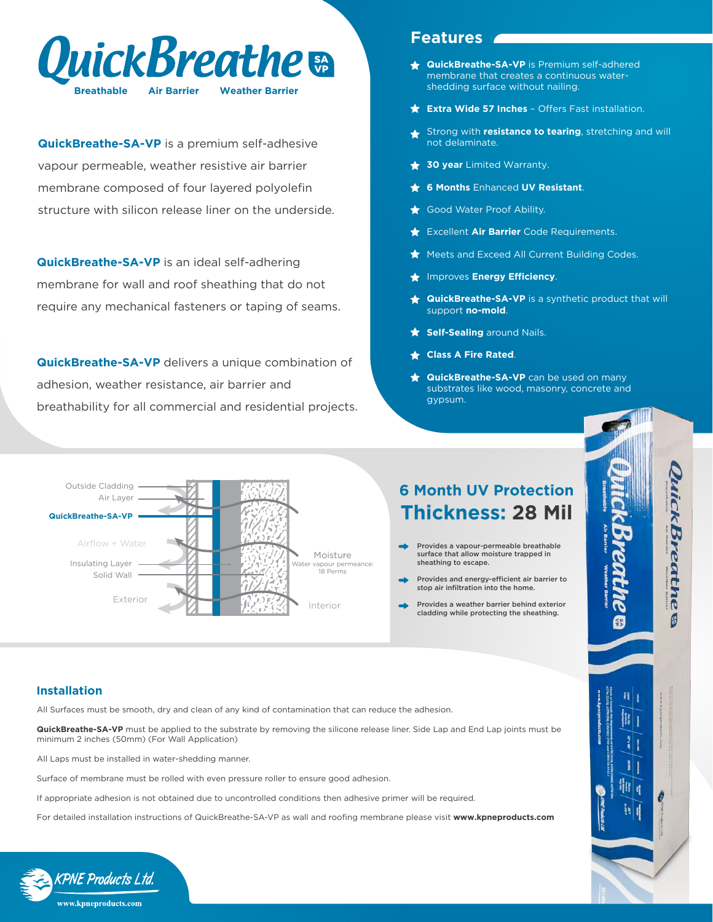

**QuickBreathe-SA-VP** is a premium self-adhesive vapour permeable, weather resistive air barrier membrane composed of four layered polyolefin structure with silicon release liner on the underside.

**QuickBreathe-SA-VP** is an ideal self-adhering membrane for wall and roof sheathing that do not require any mechanical fasteners or taping of seams.

**QuickBreathe-SA-VP** delivers a unique combination of adhesion, weather resistance, air barrier and breathability for all commercial and residential projects.

## **Features**

- **QuickBreathe-SA-VP** is Premium self-adhered membrane that creates a continuous watershedding surface without nailing.
- **Extra Wide 57 Inches** Offers Fast installation.
- Strong with **resistance to tearing**, stretching and will  $\bigstar$ not delaminate.
- **30 year** Limited Warranty.
- **6 Months** Enhanced **UV Resistant**.
- Good Water Proof Ability.
- Excellent **Air Barrier** Code Requirements.
- Meets and Exceed All Current Building Codes.
- **The Improves Energy Efficiency.**
- **QuickBreathe-SA-VP** is a synthetic product that will support **no-mold**.

JuickBreathe

9

- **Self-Sealing** around Nails.
- **Class A Fire Rated**.
- **QuickBreathe-SA-VP** can be used on many substrates like wood, masonry, concrete and gypsum.



## **6 Month UV Protection Thickness: 28 Mil**

- Provides a vapour-permeable breathable surface that allow moisture trapped in sheathing to escape.
- Provides and energy-efficient air barrier to stop air infiltration into the home.
- Provides a weather barrier behind exterior cladding while protecting the sheathing.

## **Installation**

All Surfaces must be smooth, dry and clean of any kind of contamination that can reduce the adhesion.

**QuickBreathe-SA-VP** must be applied to the substrate by removing the silicone release liner. Side Lap and End Lap joints must be minimum 2 inches (50mm) (For Wall Application)

All Laps must be installed in water-shedding manner.

Surface of membrane must be rolled with even pressure roller to ensure good adhesion.

If appropriate adhesion is not obtained due to uncontrolled conditions then adhesive primer will be required.

For detailed installation instructions of QuickBreathe-SA-VP as wall and roofing membrane please visit **www.kpneproducts.com**